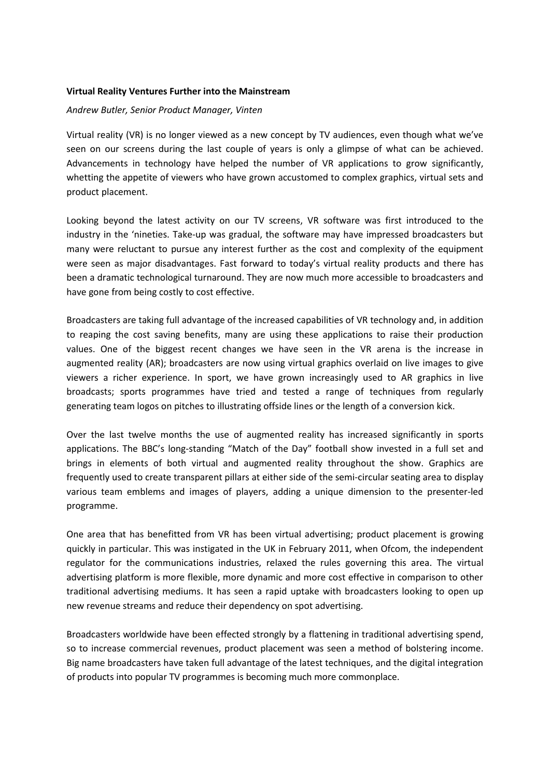## **Virtual Reality Ventures Further into the Mainstream**

## *Andrew Butler, Senior Product Manager, Vinten*

Virtual reality (VR) is no longer viewed as a new concept by TV audiences, even though what we've seen on our screens during the last couple of years is only a glimpse of what can be achieved. Advancements in technology have helped the number of VR applications to grow significantly, whetting the appetite of viewers who have grown accustomed to complex graphics, virtual sets and product placement.

Looking beyond the latest activity on our TV screens, VR software was first introduced to the industry in the 'nineties. Take-up was gradual, the software may have impressed broadcasters but many were reluctant to pursue any interest further as the cost and complexity of the equipment were seen as major disadvantages. Fast forward to today's virtual reality products and there has been a dramatic technological turnaround. They are now much more accessible to broadcasters and have gone from being costly to cost effective.

Broadcasters are taking full advantage of the increased capabilities of VR technology and, in addition to reaping the cost saving benefits, many are using these applications to raise their production values. One of the biggest recent changes we have seen in the VR arena is the increase in augmented reality (AR); broadcasters are now using virtual graphics overlaid on live images to give viewers a richer experience. In sport, we have grown increasingly used to AR graphics in live broadcasts; sports programmes have tried and tested a range of techniques from regularly generating team logos on pitches to illustrating offside lines or the length of a conversion kick.

Over the last twelve months the use of augmented reality has increased significantly in sports applications. The BBC's long-standing "Match of the Day" football show invested in a full set and brings in elements of both virtual and augmented reality throughout the show. Graphics are frequently used to create transparent pillars at either side of the semi-circular seating area to display various team emblems and images of players, adding a unique dimension to the presenter-led programme.

One area that has benefitted from VR has been virtual advertising; product placement is growing quickly in particular. This was instigated in the UK in February 2011, when Ofcom, the independent regulator for the communications industries, relaxed the rules governing this area. The virtual advertising platform is more flexible, more dynamic and more cost effective in comparison to other traditional advertising mediums. It has seen a rapid uptake with broadcasters looking to open up new revenue streams and reduce their dependency on spot advertising.

Broadcasters worldwide have been effected strongly by a flattening in traditional advertising spend, so to increase commercial revenues, product placement was seen a method of bolstering income. Big name broadcasters have taken full advantage of the latest techniques, and the digital integration of products into popular TV programmes is becoming much more commonplace.